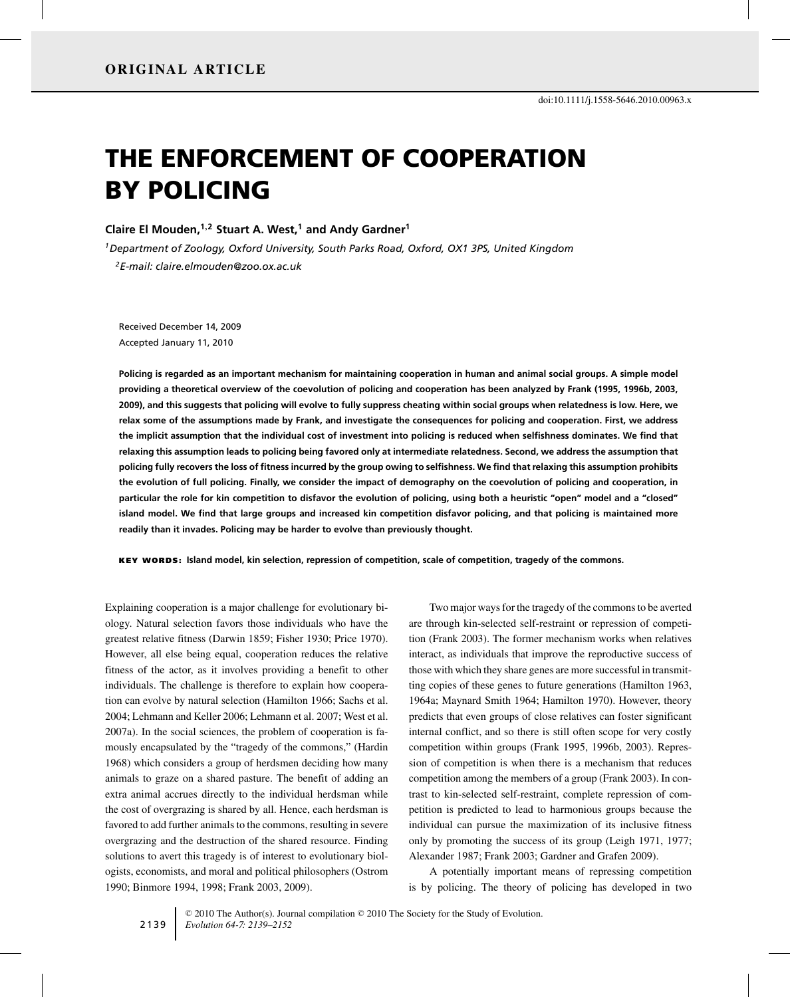# THE ENFORCEMENT OF COOPERATION BY POLICING

# **Claire El Mouden,1,<sup>2</sup> Stuart A. West,1 and Andy Gardner<sup>1</sup>**

*1Department of Zoology, Oxford University, South Parks Road, Oxford, OX1 3PS, United Kingdom 2E-mail: claire.elmouden@zoo.ox.ac.uk*

Received December 14, 2009 Accepted January 11, 2010

**Policing is regarded as an important mechanism for maintaining cooperation in human and animal social groups. A simple model providing a theoretical overview of the coevolution of policing and cooperation has been analyzed by Frank (1995, 1996b, 2003, 2009), and this suggests that policing will evolve to fully suppress cheating within social groups when relatedness is low. Here, we relax some of the assumptions made by Frank, and investigate the consequences for policing and cooperation. First, we address the implicit assumption that the individual cost of investment into policing is reduced when selfishness dominates. We find that relaxing this assumption leads to policing being favored only at intermediate relatedness. Second, we address the assumption that policing fully recovers the loss of fitness incurred by the group owing to selfishness. We find that relaxing this assumption prohibits the evolution of full policing. Finally, we consider the impact of demography on the coevolution of policing and cooperation, in particular the role for kin competition to disfavor the evolution of policing, using both a heuristic "open" model and a "closed" island model. We find that large groups and increased kin competition disfavor policing, and that policing is maintained more readily than it invades. Policing may be harder to evolve than previously thought.**

KEY WORDS: **Island model, kin selection, repression of competition, scale of competition, tragedy of the commons.**

Explaining cooperation is a major challenge for evolutionary biology. Natural selection favors those individuals who have the greatest relative fitness (Darwin 1859; Fisher 1930; Price 1970). However, all else being equal, cooperation reduces the relative fitness of the actor, as it involves providing a benefit to other individuals. The challenge is therefore to explain how cooperation can evolve by natural selection (Hamilton 1966; Sachs et al. 2004; Lehmann and Keller 2006; Lehmann et al. 2007; West et al. 2007a). In the social sciences, the problem of cooperation is famously encapsulated by the "tragedy of the commons," (Hardin 1968) which considers a group of herdsmen deciding how many animals to graze on a shared pasture. The benefit of adding an extra animal accrues directly to the individual herdsman while the cost of overgrazing is shared by all. Hence, each herdsman is favored to add further animals to the commons, resulting in severe overgrazing and the destruction of the shared resource. Finding solutions to avert this tragedy is of interest to evolutionary biologists, economists, and moral and political philosophers (Ostrom 1990; Binmore 1994, 1998; Frank 2003, 2009).

Two major ways for the tragedy of the commons to be averted are through kin-selected self-restraint or repression of competition (Frank 2003). The former mechanism works when relatives interact, as individuals that improve the reproductive success of those with which they share genes are more successful in transmitting copies of these genes to future generations (Hamilton 1963, 1964a; Maynard Smith 1964; Hamilton 1970). However, theory predicts that even groups of close relatives can foster significant internal conflict, and so there is still often scope for very costly competition within groups (Frank 1995, 1996b, 2003). Repression of competition is when there is a mechanism that reduces competition among the members of a group (Frank 2003). In contrast to kin-selected self-restraint, complete repression of competition is predicted to lead to harmonious groups because the individual can pursue the maximization of its inclusive fitness only by promoting the success of its group (Leigh 1971, 1977; Alexander 1987; Frank 2003; Gardner and Grafen 2009).

A potentially important means of repressing competition is by policing. The theory of policing has developed in two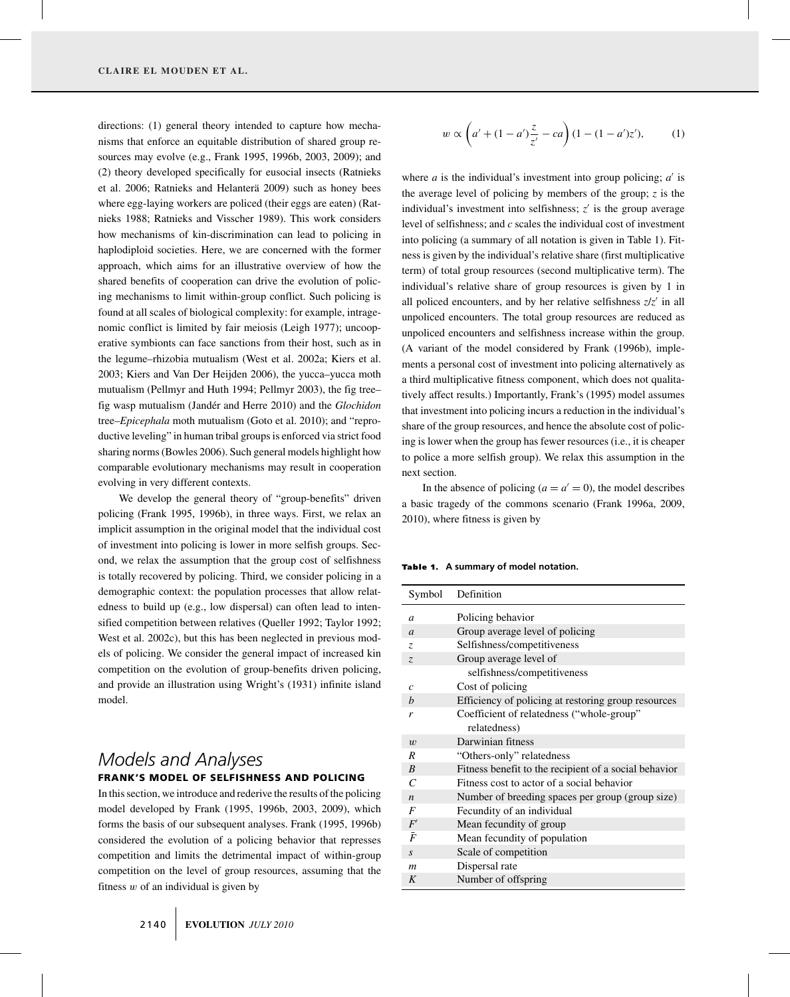directions: (1) general theory intended to capture how mechanisms that enforce an equitable distribution of shared group resources may evolve (e.g., Frank 1995, 1996b, 2003, 2009); and (2) theory developed specifically for eusocial insects (Ratnieks et al. 2006; Ratnieks and Helanterä 2009) such as honey bees where egg-laying workers are policed (their eggs are eaten) (Ratnieks 1988; Ratnieks and Visscher 1989). This work considers how mechanisms of kin-discrimination can lead to policing in haplodiploid societies. Here, we are concerned with the former approach, which aims for an illustrative overview of how the shared benefits of cooperation can drive the evolution of policing mechanisms to limit within-group conflict. Such policing is found at all scales of biological complexity: for example, intragenomic conflict is limited by fair meiosis (Leigh 1977); uncooperative symbionts can face sanctions from their host, such as in the legume–rhizobia mutualism (West et al. 2002a; Kiers et al. 2003; Kiers and Van Der Heijden 2006), the yucca–yucca moth mutualism (Pellmyr and Huth 1994; Pellmyr 2003), the fig tree– fig wasp mutualism (Jandér and Herre 2010) and the *Glochidon* tree–*Epicephala* moth mutualism (Goto et al. 2010); and "reproductive leveling" in human tribal groups is enforced via strict food sharing norms (Bowles 2006). Such general models highlight how comparable evolutionary mechanisms may result in cooperation evolving in very different contexts.

We develop the general theory of "group-benefits" driven policing (Frank 1995, 1996b), in three ways. First, we relax an implicit assumption in the original model that the individual cost of investment into policing is lower in more selfish groups. Second, we relax the assumption that the group cost of selfishness is totally recovered by policing. Third, we consider policing in a demographic context: the population processes that allow relatedness to build up (e.g., low dispersal) can often lead to intensified competition between relatives (Queller 1992; Taylor 1992; West et al. 2002c), but this has been neglected in previous models of policing. We consider the general impact of increased kin competition on the evolution of group-benefits driven policing, and provide an illustration using Wright's (1931) infinite island model.

# *Models and Analyses* FRANK'S MODEL OF SELFISHNESS AND POLICING

In this section, we introduce and rederive the results of the policing model developed by Frank (1995, 1996b, 2003, 2009), which forms the basis of our subsequent analyses. Frank (1995, 1996b) considered the evolution of a policing behavior that represses competition and limits the detrimental impact of within-group competition on the level of group resources, assuming that the fitness  $w$  of an individual is given by

$$
w \propto \left(a' + (1 - a')\frac{z}{z'} - ca\right)(1 - (1 - a')z'),\tag{1}
$$

where *a* is the individual's investment into group policing;  $a'$  is the average level of policing by members of the group; *z* is the individual's investment into selfishness;  $z'$  is the group average level of selfishness; and *c* scales the individual cost of investment into policing (a summary of all notation is given in Table 1). Fitness is given by the individual's relative share (first multiplicative term) of total group resources (second multiplicative term). The individual's relative share of group resources is given by 1 in all policed encounters, and by her relative selfishness  $z/z'$  in all unpoliced encounters. The total group resources are reduced as unpoliced encounters and selfishness increase within the group. (A variant of the model considered by Frank (1996b), implements a personal cost of investment into policing alternatively as a third multiplicative fitness component, which does not qualitatively affect results.) Importantly, Frank's (1995) model assumes that investment into policing incurs a reduction in the individual's share of the group resources, and hence the absolute cost of policing is lower when the group has fewer resources (i.e., it is cheaper to police a more selfish group). We relax this assumption in the next section.

In the absence of policing  $(a = a' = 0)$ , the model describes a basic tragedy of the commons scenario (Frank 1996a, 2009, 2010), where fitness is given by

Table 1. A summary of model notation.

| Symbol           | Definition                                            |  |
|------------------|-------------------------------------------------------|--|
| a                | Policing behavior                                     |  |
| $\mathfrak a$    | Group average level of policing                       |  |
| Z.               | Selfishness/competitiveness                           |  |
| Z.               | Group average level of                                |  |
|                  | selfishness/competitiveness                           |  |
| $\mathcal{C}$    | Cost of policing                                      |  |
| b                | Efficiency of policing at restoring group resources   |  |
| r                | Coefficient of relatedness ("whole-group"             |  |
|                  | relatedness)                                          |  |
| $\boldsymbol{w}$ | Darwinian fitness                                     |  |
| R                | "Others-only" relatedness                             |  |
| $\boldsymbol{B}$ | Fitness benefit to the recipient of a social behavior |  |
| $\mathcal{C}$    | Fitness cost to actor of a social behavior            |  |
| $\boldsymbol{n}$ | Number of breeding spaces per group (group size)      |  |
| F                | Fecundity of an individual                            |  |
| F'               | Mean fecundity of group                               |  |
| $\bar{F}$        | Mean fecundity of population                          |  |
| $\overline{S}$   | Scale of competition                                  |  |
| m                | Dispersal rate                                        |  |
| K                | Number of offspring                                   |  |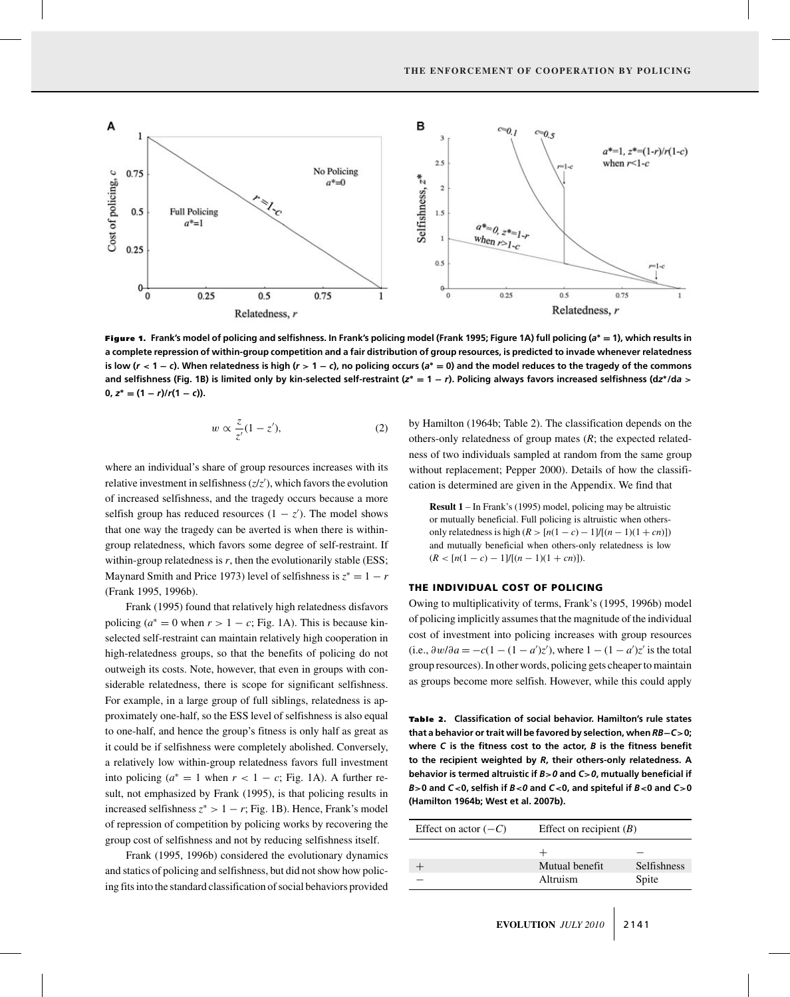

Figure 1. **Frank's model of policing and selfishness. In Frank's policing model (Frank 1995; Figure 1A) full policing (***a***<sup>∗</sup> = 1), which results in a complete repression of within-group competition and a fair distribution of group resources, is predicted to invade whenever relatedness** is low ( $r < 1 - c$ ). When relatedness is high ( $r > 1 - c$ ), no policing occurs ( $a^* = 0$ ) and the model reduces to the tragedy of the commons and selfishness (Fig. 1B) is limited only by kin-selected self-restraint ( $z^* = 1 - r$ ). Policing always favors increased selfishness (dz\*/da >  $0, z^* = (1 - r)/r(1 - c)$ .

$$
w \propto \frac{z}{z'}(1-z'),\tag{2}
$$

where an individual's share of group resources increases with its relative investment in selfishness (*z*/*z* ), which favors the evolution of increased selfishness, and the tragedy occurs because a more selfish group has reduced resources  $(1 - z')$ . The model shows that one way the tragedy can be averted is when there is withingroup relatedness, which favors some degree of self-restraint. If within-group relatedness is *r*, then the evolutionarily stable (ESS; Maynard Smith and Price 1973) level of selfishness is  $z^* = 1 - r$ (Frank 1995, 1996b).

Frank (1995) found that relatively high relatedness disfavors policing ( $a^* = 0$  when  $r > 1 - c$ ; Fig. 1A). This is because kinselected self-restraint can maintain relatively high cooperation in high-relatedness groups, so that the benefits of policing do not outweigh its costs. Note, however, that even in groups with considerable relatedness, there is scope for significant selfishness. For example, in a large group of full siblings, relatedness is approximately one-half, so the ESS level of selfishness is also equal to one-half, and hence the group's fitness is only half as great as it could be if selfishness were completely abolished. Conversely, a relatively low within-group relatedness favors full investment into policing ( $a^* = 1$  when  $r < 1 - c$ ; Fig. 1A). A further result, not emphasized by Frank (1995), is that policing results in increased selfishness  $z^*$  > 1 – *r*; Fig. 1B). Hence, Frank's model of repression of competition by policing works by recovering the group cost of selfishness and not by reducing selfishness itself.

Frank (1995, 1996b) considered the evolutionary dynamics and statics of policing and selfishness, but did not show how policing fits into the standard classification of social behaviors provided

by Hamilton (1964b; Table 2). The classification depends on the others-only relatedness of group mates (*R*; the expected relatedness of two individuals sampled at random from the same group without replacement; Pepper 2000). Details of how the classification is determined are given in the Appendix. We find that

**Result 1** – In Frank's (1995) model, policing may be altruistic or mutually beneficial. Full policing is altruistic when othersonly relatedness is high (*R* >  $[n(1 - c) - 1]/[(n - 1)(1 + cn)]$ ) and mutually beneficial when others-only relatedness is low  $(R < [n(1 - c) - 1]/[(n - 1)(1 + cn)].$ 

## THE INDIVIDUAL COST OF POLICING

Owing to multiplicativity of terms, Frank's (1995, 1996b) model of policing implicitly assumes that the magnitude of the individual cost of investment into policing increases with group resources (i.e.,  $\frac{\partial w}{\partial a} = -c(1 - (1 - a')z')$ , where  $1 - (1 - a')z'$  is the total group resources). In other words, policing gets cheaper to maintain as groups become more selfish. However, while this could apply

Table 2. Classification of social behavior. Hamilton's rule states **that a behavior or trait will be favored by selection, when** *RB***−***C***>0; where** *C* **is the fitness cost to the actor,** *B* **is the fitness benefit to the recipient weighted by** *R***, their others-only relatedness. A behavior is termed altruistic if** *B***>***0* **and** *C***>***0***, mutually beneficial if** *B***>0 and** *C***<0, selfish if** *B***<***0* **and** *C***<0, and spiteful if** *B***<0 and** *C***>0 (Hamilton 1964b; West et al. 2007b).**

| Effect on actor $(-C)$ | Effect on recipient $(B)$ |             |
|------------------------|---------------------------|-------------|
|                        |                           |             |
|                        | Mutual benefit            | Selfishness |
|                        | Altruism                  | Spite       |
|                        |                           |             |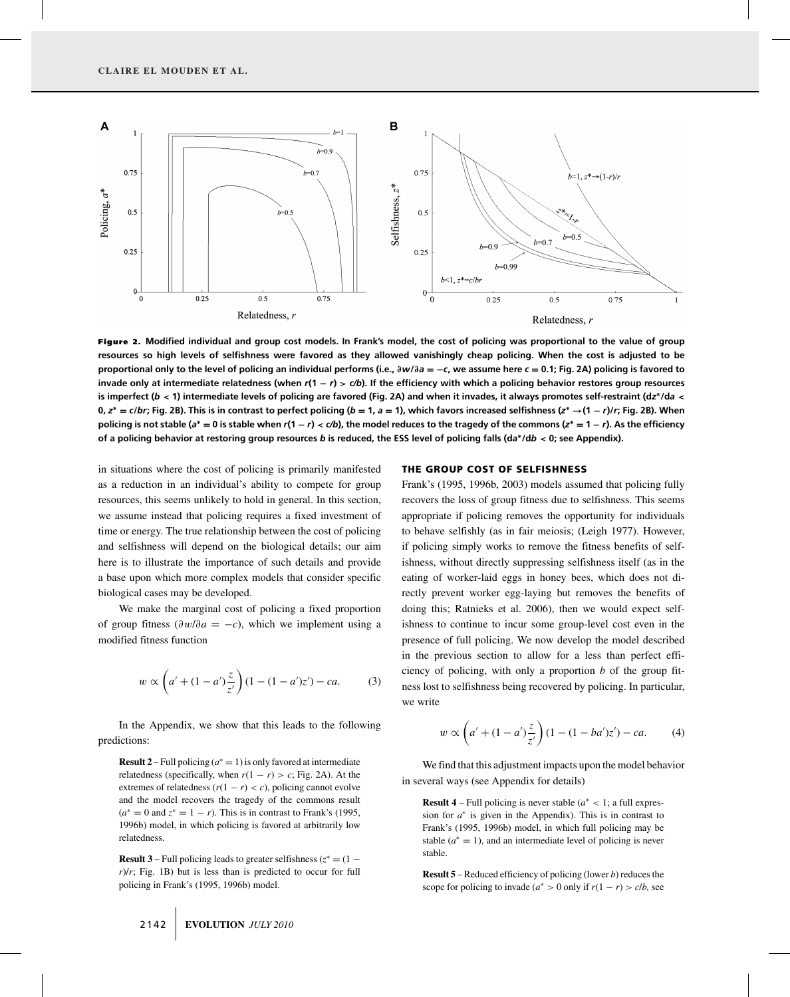

Figure 2. **Modified individual and group cost models. In Frank's model, the cost of policing was proportional to the value of group resources so high levels of selfishness were favored as they allowed vanishingly cheap policing. When the cost is adjusted to be proportional only to the level of policing an individual performs (i.e., ∂***w***/∂***a* **= −***c***, we assume here** *c* **= 0.1; Fig. 2A) policing is favored to invade only at intermediate relatedness (when** *r***(1 −** *r***) >** *c/b***). If the efficiency with which a policing behavior restores group resources is imperfect (***b* **< 1) intermediate levels of policing are favored (Fig. 2A) and when it invades, it always promotes self-restraint (d***z***∗/d***a* **<** 0,  $z^* = c/br$ ; Fig. 2B). This is in contrast to perfect policing ( $b = 1$ ,  $a = 1$ ), which favors increased selfishness ( $z^* \rightarrow (1 - r)/r$ ; Fig. 2B). When policing is not stable ( $a^* = 0$  is stable when  $r(1 - r) < c/b$ ), the model reduces to the tragedy of the commons ( $z^* = 1 - r$ ). As the efficiency **of a policing behavior at restoring group resources** *b* **is reduced, the ESS level of policing falls (d***a***∗/d***b* **< 0; see Appendix).**

in situations where the cost of policing is primarily manifested as a reduction in an individual's ability to compete for group resources, this seems unlikely to hold in general. In this section, we assume instead that policing requires a fixed investment of time or energy. The true relationship between the cost of policing and selfishness will depend on the biological details; our aim here is to illustrate the importance of such details and provide a base upon which more complex models that consider specific biological cases may be developed.

We make the marginal cost of policing a fixed proportion of group fitness ( $\partial w / \partial a = -c$ ), which we implement using a modified fitness function

$$
w \propto \left(a' + (1 - a')\frac{z}{z'}\right)(1 - (1 - a')z') - ca.
$$
 (3)

In the Appendix, we show that this leads to the following predictions:

**Result 2** – Full policing ( $a^* = 1$ ) is only favored at intermediate relatedness (specifically, when  $r(1 - r) > c$ ; Fig. 2A). At the extremes of relatedness  $(r(1 - r) < c)$ , policing cannot evolve and the model recovers the tragedy of the commons result  $(a^* = 0 \text{ and } z^* = 1 - r)$ . This is in contrast to Frank's (1995, 1996b) model, in which policing is favored at arbitrarily low relatedness.

**Result 3** – Full policing leads to greater selfishness ( $z^* = (1 - \frac{1}{z})$ *r*)/*r*; Fig. 1B) but is less than is predicted to occur for full policing in Frank's (1995, 1996b) model.

#### THE GROUP COST OF SELFISHNESS

Frank's (1995, 1996b, 2003) models assumed that policing fully recovers the loss of group fitness due to selfishness. This seems appropriate if policing removes the opportunity for individuals to behave selfishly (as in fair meiosis; (Leigh 1977). However, if policing simply works to remove the fitness benefits of selfishness, without directly suppressing selfishness itself (as in the eating of worker-laid eggs in honey bees, which does not directly prevent worker egg-laying but removes the benefits of doing this; Ratnieks et al. 2006), then we would expect selfishness to continue to incur some group-level cost even in the presence of full policing. We now develop the model described in the previous section to allow for a less than perfect efficiency of policing, with only a proportion *b* of the group fitness lost to selfishness being recovered by policing. In particular, we write

$$
w \propto \left( a' + (1 - a') \frac{z}{z'} \right) (1 - (1 - ba')z') - ca. \tag{4}
$$

We find that this adjustment impacts upon the model behavior in several ways (see Appendix for details)

**Result 4** – Full policing is never stable ( $a^*$  < 1; a full expression for  $a^*$  is given in the Appendix). This is in contrast to Frank's (1995, 1996b) model, in which full policing may be stable  $(a^* = 1)$ , and an intermediate level of policing is never stable.

**Result 5** – Reduced efficiency of policing (lower *b*) reduces the scope for policing to invade ( $a^* > 0$  only if  $r(1 - r) > c/b$ , see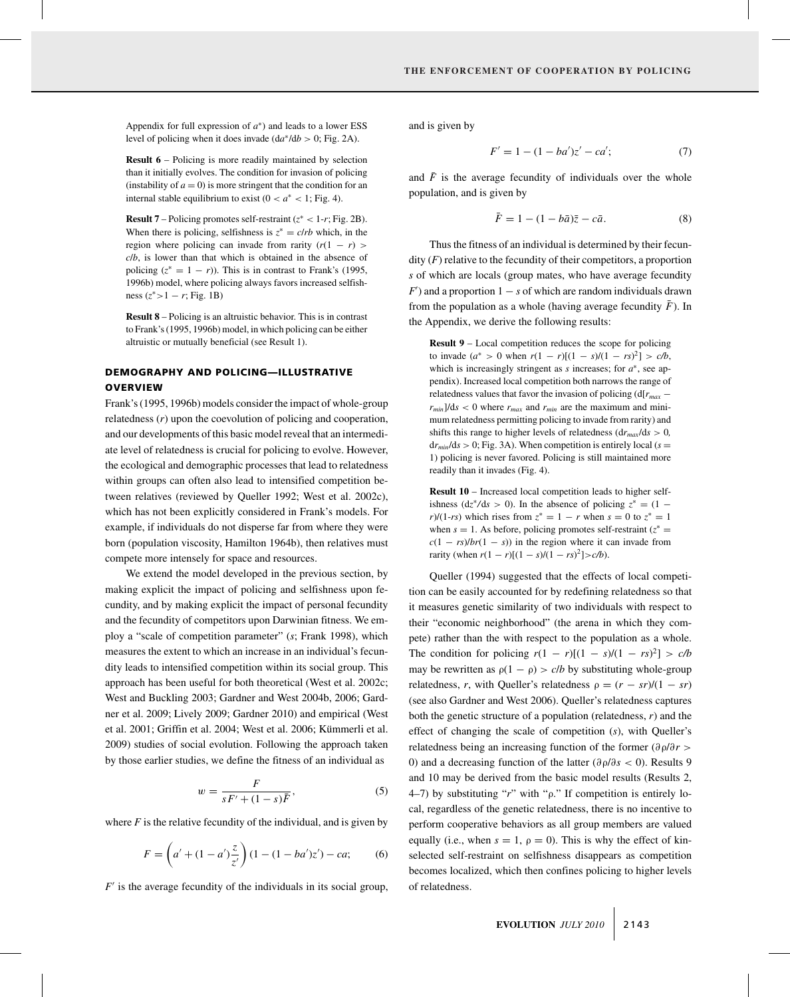Appendix for full expression of *a*∗) and leads to a lower ESS level of policing when it does invade  $(da^* / db > 0; Fig. 2A)$ .

**Result 6** – Policing is more readily maintained by selection than it initially evolves. The condition for invasion of policing (instability of  $a = 0$ ) is more stringent that the condition for an internal stable equilibrium to exist  $(0 < a^* < 1;$  Fig. 4).

**Result 7** – Policing promotes self-restraint  $(z^* < 1-r; Fig. 2B)$ . When there is policing, selfishness is  $z^* = c/rb$  which, in the region where policing can invade from rarity  $(r(1 - r))$ *c*/*b*, is lower than that which is obtained in the absence of policing  $(z^* = 1 - r)$ ). This is in contrast to Frank's (1995, 1996b) model, where policing always favors increased selfishness  $(z^* > 1 - r; Fig. 1B)$ 

**Result 8** – Policing is an altruistic behavior. This is in contrast to Frank's (1995, 1996b) model, in which policing can be either altruistic or mutually beneficial (see Result 1).

## DEMOGRAPHY AND POLICING—ILLUSTRATIVE **OVERVIEW**

Frank's (1995, 1996b) models consider the impact of whole-group relatedness (*r*) upon the coevolution of policing and cooperation, and our developments of this basic model reveal that an intermediate level of relatedness is crucial for policing to evolve. However, the ecological and demographic processes that lead to relatedness within groups can often also lead to intensified competition between relatives (reviewed by Queller 1992; West et al. 2002c), which has not been explicitly considered in Frank's models. For example, if individuals do not disperse far from where they were born (population viscosity, Hamilton 1964b), then relatives must compete more intensely for space and resources.

We extend the model developed in the previous section, by making explicit the impact of policing and selfishness upon fecundity, and by making explicit the impact of personal fecundity and the fecundity of competitors upon Darwinian fitness. We employ a "scale of competition parameter" (*s*; Frank 1998), which measures the extent to which an increase in an individual's fecundity leads to intensified competition within its social group. This approach has been useful for both theoretical (West et al. 2002c; West and Buckling 2003; Gardner and West 2004b, 2006; Gardner et al. 2009; Lively 2009; Gardner 2010) and empirical (West et al. 2001; Griffin et al. 2004; West et al. 2006; Kümmerli et al. 2009) studies of social evolution. Following the approach taken by those earlier studies, we define the fitness of an individual as

$$
w = \frac{F}{sF' + (1-s)\overline{F}},\tag{5}
$$

where  $F$  is the relative fecundity of the individual, and is given by

$$
F = \left(a' + (1 - a')\frac{z}{z'}\right)(1 - (1 - ba')z') - ca;\tag{6}
$$

 $F'$  is the average fecundity of the individuals in its social group,

and is given by

$$
F' = 1 - (1 - ba')z' - ca';\tag{7}
$$

and  $\bar{F}$  is the average fecundity of individuals over the whole population, and is given by

$$
\bar{F} = 1 - (1 - b\bar{a})\bar{z} - c\bar{a}.
$$
\n<sup>(8)</sup>

Thus the fitness of an individual is determined by their fecundity (*F*) relative to the fecundity of their competitors, a proportion *s* of which are locals (group mates, who have average fecundity  $F'$ ) and a proportion  $1 - s$  of which are random individuals drawn from the population as a whole (having average fecundity  $\bar{F}$ ). In the Appendix, we derive the following results:

**Result 9** – Local competition reduces the scope for policing to invade  $(a^* > 0$  when  $r(1 - r)[(1 - s)/(1 - rs)^2] > c/b$ , which is increasingly stringent as *s* increases; for *a*∗, see appendix). Increased local competition both narrows the range of relatedness values that favor the invasion of policing (d[*rmax* −  $r_{min}$ ]/ds < 0 where  $r_{max}$  and  $r_{min}$  are the maximum and minimum relatedness permitting policing to invade from rarity) and shifts this range to higher levels of relatedness  $dr_{max}/ds > 0$ ,  $dr_{min}/ds > 0$ ; Fig. 3A). When competition is entirely local ( $s =$ 1) policing is never favored. Policing is still maintained more readily than it invades (Fig. 4).

**Result 10** – Increased local competition leads to higher selfishness ( $dz^*/ds > 0$ ). In the absence of policing  $z^* = (1$ *r*)/(1-*rs*) which rises from  $z^* = 1 - r$  when  $s = 0$  to  $z^* = 1$ when  $s = 1$ . As before, policing promotes self-restraint ( $z^* =$  $c(1 - rs)/br(1 - s)$  in the region where it can invade from  $\text{rarity (when } r(1 - r)[(1 - s)/(1 - rs)^2] > c/b).$ 

Queller (1994) suggested that the effects of local competition can be easily accounted for by redefining relatedness so that it measures genetic similarity of two individuals with respect to their "economic neighborhood" (the arena in which they compete) rather than the with respect to the population as a whole. The condition for policing  $r(1 - r)[(1 - s)/(1 - rs)^2] > c/b$ may be rewritten as  $\rho(1 - \rho) > c/b$  by substituting whole-group relatedness, *r*, with Queller's relatedness  $\rho = (r - sr)/(1 - sr)$ (see also Gardner and West 2006). Queller's relatedness captures both the genetic structure of a population (relatedness, *r*) and the effect of changing the scale of competition (*s*), with Queller's relatedness being an increasing function of the former (∂ρ/∂*r* > 0) and a decreasing function of the latter (∂ρ/∂*s* < 0). Results 9 and 10 may be derived from the basic model results (Results 2, 4–7) by substituting "*r*" with "ρ." If competition is entirely local, regardless of the genetic relatedness, there is no incentive to perform cooperative behaviors as all group members are valued equally (i.e., when  $s = 1$ ,  $\rho = 0$ ). This is why the effect of kinselected self-restraint on selfishness disappears as competition becomes localized, which then confines policing to higher levels of relatedness.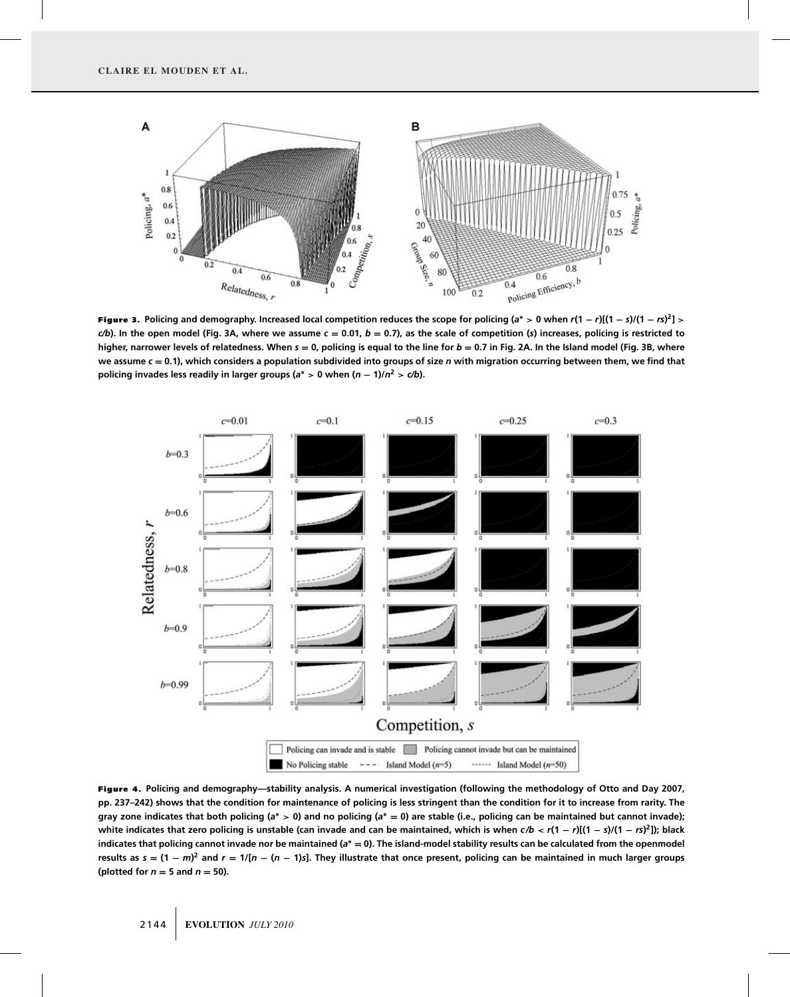

Figure 3. Policing and demography. Increased local competition reduces the scope for policing (a\* > 0 when  $r(1-r)[(1-s)/(1-rs)^2]$  >  $c/b$ . In the open model (Fig. 3A, where we assume  $c = 0.01$ ,  $b = 0.7$ ), as the scale of competition ( $s$ ) increases, policing is restricted to **higher, narrower levels of relatedness. When** *s* **= 0, policing is equal to the line for** *b* **= 0.7 in Fig. 2A. In the Island model (Fig. 3B, where we assume** *c* **= 0.1), which considers a population subdivided into groups of size** *n* **with migration occurring between them, we find that policing invades less readily in larger groups (** $a^*$  **> 0 when**  $(n - 1)/n^2$  **>**  $c/b$ **).** 



Figure 4. **Policing and demography—stability analysis. A numerical investigation (following the methodology of Otto and Day 2007, pp. 237–242) shows that the condition for maintenance of policing is less stringent than the condition for it to increase from rarity. The gray zone indicates that both policing (***a***<sup>∗</sup> > 0) and no policing (***a***<sup>∗</sup> = 0) are stable (i.e., policing can be maintained but cannot invade);** white indicates that zero policing is unstable (can invade and can be maintained, which is when  $c/b < r(1 - r)[(1 - s)/(1 - rs)^2]$ ); black **indicates that policing cannot invade nor be maintained (***a***<sup>∗</sup> = 0). The island-model stability results can be calculated from the openmodel** results as  $s = (1 - m)^2$  and  $r = 1/[n - (n - 1)s]$ . They illustrate that once present, policing can be maintained in much larger groups **(plotted for**  $n = 5$  **and**  $n = 50$ **).**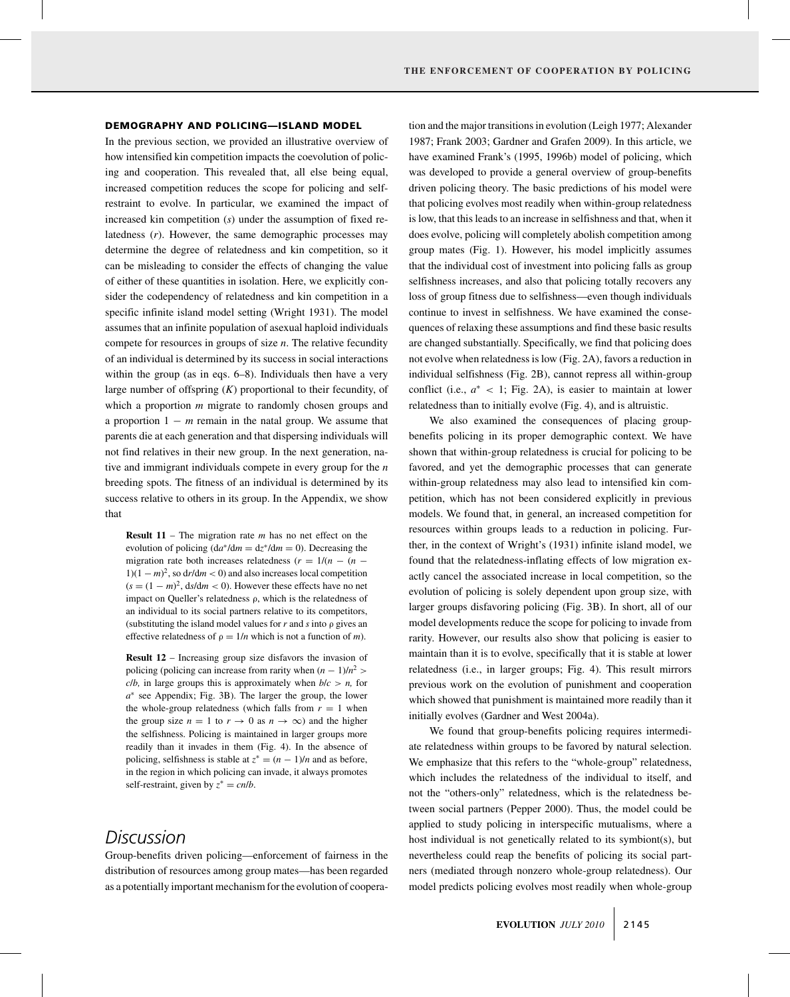#### DEMOGRAPHY AND POLICING—ISLAND MODEL

In the previous section, we provided an illustrative overview of how intensified kin competition impacts the coevolution of policing and cooperation. This revealed that, all else being equal, increased competition reduces the scope for policing and selfrestraint to evolve. In particular, we examined the impact of increased kin competition (*s*) under the assumption of fixed relatedness (*r*). However, the same demographic processes may determine the degree of relatedness and kin competition, so it can be misleading to consider the effects of changing the value of either of these quantities in isolation. Here, we explicitly consider the codependency of relatedness and kin competition in a specific infinite island model setting (Wright 1931). The model assumes that an infinite population of asexual haploid individuals compete for resources in groups of size *n*. The relative fecundity of an individual is determined by its success in social interactions within the group (as in eqs. 6–8). Individuals then have a very large number of offspring  $(K)$  proportional to their fecundity, of which a proportion *m* migrate to randomly chosen groups and a proportion 1 − *m* remain in the natal group. We assume that parents die at each generation and that dispersing individuals will not find relatives in their new group. In the next generation, native and immigrant individuals compete in every group for the *n* breeding spots. The fitness of an individual is determined by its success relative to others in its group. In the Appendix, we show that

**Result 11** – The migration rate *m* has no net effect on the evolution of policing  $\left(\frac{da^*}{dm} = \frac{dz^*}{dm} = 0\right)$ . Decreasing the migration rate both increases relatedness  $(r = 1/(n - (n -$ 1)(1 − *m*) 2, so d*r*/d*m* < 0) and also increases local competition  $(s = (1 - m)^2, ds/dm < 0)$ . However these effects have no net impact on Queller's relatedness ρ, which is the relatedness of an individual to its social partners relative to its competitors, (substituting the island model values for *r* and *s* into ρ gives an effective relatedness of  $\rho = 1/n$  which is not a function of *m*).

**Result 12** – Increasing group size disfavors the invasion of policing (policing can increase from rarity when  $(n - 1)/n^2$  > *c/b,* in large groups this is approximately when  $b/c > n$ , for *a*<sup>∗</sup> see Appendix; Fig. 3B). The larger the group, the lower the whole-group relatedness (which falls from  $r = 1$  when the group size  $n = 1$  to  $r \to 0$  as  $n \to \infty$ ) and the higher the selfishness. Policing is maintained in larger groups more readily than it invades in them (Fig. 4). In the absence of policing, selfishness is stable at  $z^* = (n - 1)/n$  and as before, in the region in which policing can invade, it always promotes self-restraint, given by  $z^* = cn/b$ .

# *Discussion*

Group-benefits driven policing—enforcement of fairness in the distribution of resources among group mates—has been regarded as a potentially important mechanism for the evolution of cooperation and the major transitions in evolution (Leigh 1977; Alexander 1987; Frank 2003; Gardner and Grafen 2009). In this article, we have examined Frank's (1995, 1996b) model of policing, which was developed to provide a general overview of group-benefits driven policing theory. The basic predictions of his model were that policing evolves most readily when within-group relatedness is low, that this leads to an increase in selfishness and that, when it does evolve, policing will completely abolish competition among group mates (Fig. 1). However, his model implicitly assumes that the individual cost of investment into policing falls as group selfishness increases, and also that policing totally recovers any loss of group fitness due to selfishness—even though individuals continue to invest in selfishness. We have examined the consequences of relaxing these assumptions and find these basic results are changed substantially. Specifically, we find that policing does not evolve when relatedness is low (Fig. 2A), favors a reduction in individual selfishness (Fig. 2B), cannot repress all within-group conflict (i.e.,  $a^*$  < 1; Fig. 2A), is easier to maintain at lower relatedness than to initially evolve (Fig. 4), and is altruistic.

We also examined the consequences of placing groupbenefits policing in its proper demographic context. We have shown that within-group relatedness is crucial for policing to be favored, and yet the demographic processes that can generate within-group relatedness may also lead to intensified kin competition, which has not been considered explicitly in previous models. We found that, in general, an increased competition for resources within groups leads to a reduction in policing. Further, in the context of Wright's (1931) infinite island model, we found that the relatedness-inflating effects of low migration exactly cancel the associated increase in local competition, so the evolution of policing is solely dependent upon group size, with larger groups disfavoring policing (Fig. 3B). In short, all of our model developments reduce the scope for policing to invade from rarity. However, our results also show that policing is easier to maintain than it is to evolve, specifically that it is stable at lower relatedness (i.e., in larger groups; Fig. 4). This result mirrors previous work on the evolution of punishment and cooperation which showed that punishment is maintained more readily than it initially evolves (Gardner and West 2004a).

We found that group-benefits policing requires intermediate relatedness within groups to be favored by natural selection. We emphasize that this refers to the "whole-group" relatedness, which includes the relatedness of the individual to itself, and not the "others-only" relatedness, which is the relatedness between social partners (Pepper 2000). Thus, the model could be applied to study policing in interspecific mutualisms, where a host individual is not genetically related to its symbiont(s), but nevertheless could reap the benefits of policing its social partners (mediated through nonzero whole-group relatedness). Our model predicts policing evolves most readily when whole-group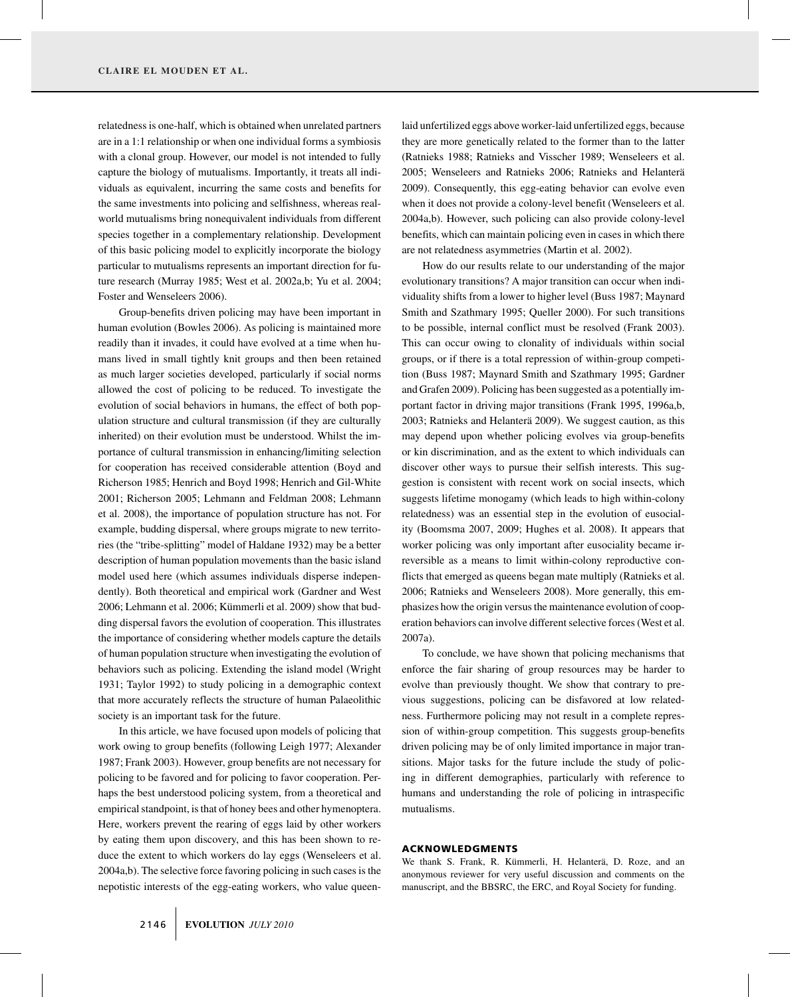relatedness is one-half, which is obtained when unrelated partners are in a 1:1 relationship or when one individual forms a symbiosis with a clonal group. However, our model is not intended to fully capture the biology of mutualisms. Importantly, it treats all individuals as equivalent, incurring the same costs and benefits for the same investments into policing and selfishness, whereas realworld mutualisms bring nonequivalent individuals from different species together in a complementary relationship. Development of this basic policing model to explicitly incorporate the biology particular to mutualisms represents an important direction for future research (Murray 1985; West et al. 2002a,b; Yu et al. 2004; Foster and Wenseleers 2006).

Group-benefits driven policing may have been important in human evolution (Bowles 2006). As policing is maintained more readily than it invades, it could have evolved at a time when humans lived in small tightly knit groups and then been retained as much larger societies developed, particularly if social norms allowed the cost of policing to be reduced. To investigate the evolution of social behaviors in humans, the effect of both population structure and cultural transmission (if they are culturally inherited) on their evolution must be understood. Whilst the importance of cultural transmission in enhancing/limiting selection for cooperation has received considerable attention (Boyd and Richerson 1985; Henrich and Boyd 1998; Henrich and Gil-White 2001; Richerson 2005; Lehmann and Feldman 2008; Lehmann et al. 2008), the importance of population structure has not. For example, budding dispersal, where groups migrate to new territories (the "tribe-splitting" model of Haldane 1932) may be a better description of human population movements than the basic island model used here (which assumes individuals disperse independently). Both theoretical and empirical work (Gardner and West 2006; Lehmann et al. 2006; Kümmerli et al. 2009) show that budding dispersal favors the evolution of cooperation. This illustrates the importance of considering whether models capture the details of human population structure when investigating the evolution of behaviors such as policing. Extending the island model (Wright 1931; Taylor 1992) to study policing in a demographic context that more accurately reflects the structure of human Palaeolithic society is an important task for the future.

In this article, we have focused upon models of policing that work owing to group benefits (following Leigh 1977; Alexander 1987; Frank 2003). However, group benefits are not necessary for policing to be favored and for policing to favor cooperation. Perhaps the best understood policing system, from a theoretical and empirical standpoint, is that of honey bees and other hymenoptera. Here, workers prevent the rearing of eggs laid by other workers by eating them upon discovery, and this has been shown to reduce the extent to which workers do lay eggs (Wenseleers et al. 2004a,b). The selective force favoring policing in such cases is the nepotistic interests of the egg-eating workers, who value queenlaid unfertilized eggs above worker-laid unfertilized eggs, because they are more genetically related to the former than to the latter (Ratnieks 1988; Ratnieks and Visscher 1989; Wenseleers et al. 2005; Wenseleers and Ratnieks 2006; Ratnieks and Helanterä 2009). Consequently, this egg-eating behavior can evolve even when it does not provide a colony-level benefit (Wenseleers et al. 2004a,b). However, such policing can also provide colony-level benefits, which can maintain policing even in cases in which there are not relatedness asymmetries (Martin et al. 2002).

How do our results relate to our understanding of the major evolutionary transitions? A major transition can occur when individuality shifts from a lower to higher level (Buss 1987; Maynard Smith and Szathmary 1995; Queller 2000). For such transitions to be possible, internal conflict must be resolved (Frank 2003). This can occur owing to clonality of individuals within social groups, or if there is a total repression of within-group competition (Buss 1987; Maynard Smith and Szathmary 1995; Gardner and Grafen 2009). Policing has been suggested as a potentially important factor in driving major transitions (Frank 1995, 1996a,b, 2003; Ratnieks and Helanterä 2009). We suggest caution, as this may depend upon whether policing evolves via group-benefits or kin discrimination, and as the extent to which individuals can discover other ways to pursue their selfish interests. This suggestion is consistent with recent work on social insects, which suggests lifetime monogamy (which leads to high within-colony relatedness) was an essential step in the evolution of eusociality (Boomsma 2007, 2009; Hughes et al. 2008). It appears that worker policing was only important after eusociality became irreversible as a means to limit within-colony reproductive conflicts that emerged as queens began mate multiply (Ratnieks et al. 2006; Ratnieks and Wenseleers 2008). More generally, this emphasizes how the origin versus the maintenance evolution of cooperation behaviors can involve different selective forces (West et al. 2007a).

To conclude, we have shown that policing mechanisms that enforce the fair sharing of group resources may be harder to evolve than previously thought. We show that contrary to previous suggestions, policing can be disfavored at low relatedness. Furthermore policing may not result in a complete repression of within-group competition. This suggests group-benefits driven policing may be of only limited importance in major transitions. Major tasks for the future include the study of policing in different demographies, particularly with reference to humans and understanding the role of policing in intraspecific mutualisms.

#### ACKNOWLEDGMENTS

We thank S. Frank, R. Kümmerli, H. Helanterä, D. Roze, and an anonymous reviewer for very useful discussion and comments on the manuscript, and the BBSRC, the ERC, and Royal Society for funding.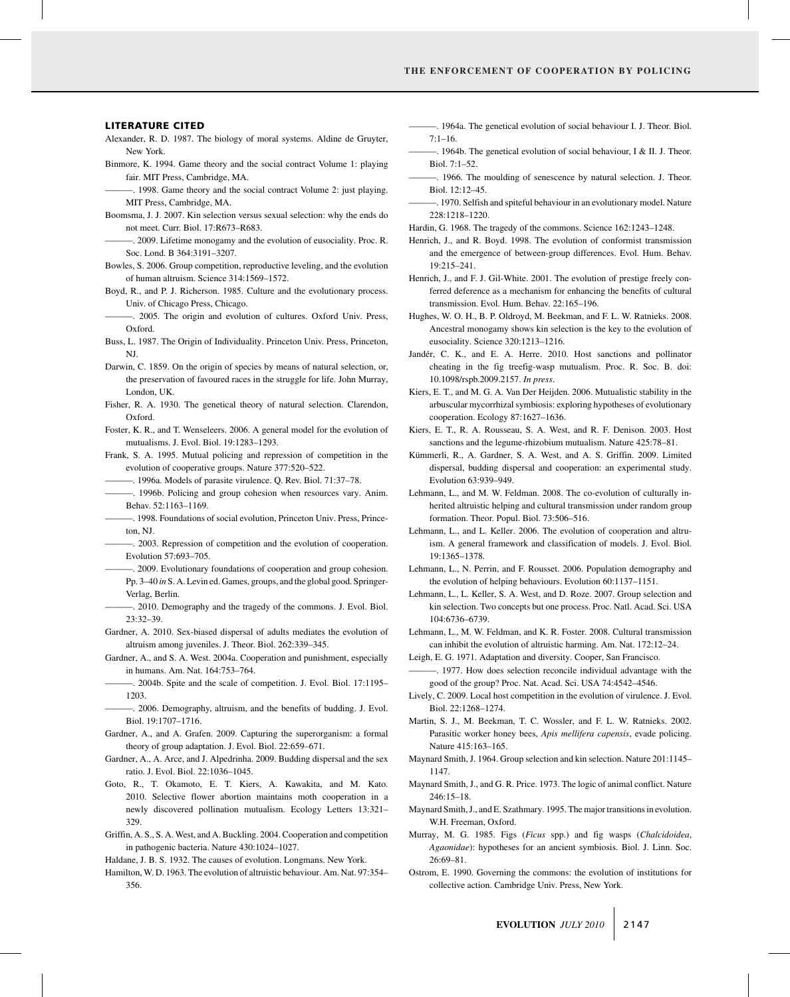#### LITERATURE CITED

- Alexander, R. D. 1987. The biology of moral systems. Aldine de Gruyter, New York.
- Binmore, K. 1994. Game theory and the social contract Volume 1: playing fair. MIT Press, Cambridge, MA.

———. 1998. Game theory and the social contract Volume 2: just playing. MIT Press, Cambridge, MA.

- Boomsma, J. J. 2007. Kin selection versus sexual selection: why the ends do not meet. Curr. Biol. 17:R673–R683.
	- ———. 2009. Lifetime monogamy and the evolution of eusociality. Proc. R. Soc. Lond. B 364:3191–3207.
- Bowles, S. 2006. Group competition, reproductive leveling, and the evolution of human altruism. Science 314:1569–1572.
- Boyd, R., and P. J. Richerson. 1985. Culture and the evolutionary process. Univ. of Chicago Press, Chicago.
- ———. 2005. The origin and evolution of cultures. Oxford Univ. Press, Oxford.
- Buss, L. 1987. The Origin of Individuality. Princeton Univ. Press, Princeton, NJ.
- Darwin, C. 1859. On the origin of species by means of natural selection, or, the preservation of favoured races in the struggle for life. John Murray, London, UK.
- Fisher, R. A. 1930. The genetical theory of natural selection. Clarendon, Oxford.
- Foster, K. R., and T. Wenseleers. 2006. A general model for the evolution of mutualisms. J. Evol. Biol. 19:1283–1293.
- Frank, S. A. 1995. Mutual policing and repression of competition in the evolution of cooperative groups. Nature 377:520–522.
- ———. 1996a. Models of parasite virulence. Q. Rev. Biol. 71:37–78.
- ———. 1996b. Policing and group cohesion when resources vary. Anim. Behav. 52:1163–1169.
- ———. 1998. Foundations of social evolution, Princeton Univ. Press, Princeton, NJ.
- ———. 2003. Repression of competition and the evolution of cooperation. Evolution 57:693–705.
- ———. 2009. Evolutionary foundations of cooperation and group cohesion. Pp. 3–40 *in* S. A. Levin ed. Games, groups, and the global good. Springer-Verlag, Berlin.
- ———. 2010. Demography and the tragedy of the commons. J. Evol. Biol. 23:32–39.
- Gardner, A. 2010. Sex-biased dispersal of adults mediates the evolution of altruism among juveniles. J. Theor. Biol. 262:339–345.
- Gardner, A., and S. A. West. 2004a. Cooperation and punishment, especially in humans. Am. Nat. 164:753–764.
- -. 2004b. Spite and the scale of competition. J. Evol. Biol. 17:1195– 1203.
- -. 2006. Demography, altruism, and the benefits of budding. J. Evol. Biol. 19:1707–1716.
- Gardner, A., and A. Grafen. 2009. Capturing the superorganism: a formal theory of group adaptation. J. Evol. Biol. 22:659–671.
- Gardner, A., A. Arce, and J. Alpedrinha. 2009. Budding dispersal and the sex ratio. J. Evol. Biol. 22:1036–1045.
- Goto, R., T. Okamoto, E. T. Kiers, A. Kawakita, and M. Kato. 2010. Selective flower abortion maintains moth cooperation in a newly discovered pollination mutualism. Ecology Letters 13:321– 329.
- Griffin, A. S., S. A. West, and A. Buckling. 2004. Cooperation and competition in pathogenic bacteria. Nature 430:1024–1027.
- Haldane, J. B. S. 1932. The causes of evolution. Longmans. New York.
- Hamilton, W. D. 1963. The evolution of altruistic behaviour. Am. Nat. 97:354– 356.
- ———. 1964a. The genetical evolution of social behaviour I. J. Theor. Biol.  $7.1 - 16$
- $-$ . 1964b. The genetical evolution of social behaviour, I & II. J. Theor. Biol. 7:1–52.
- ———. 1966. The moulding of senescence by natural selection. J. Theor. Biol. 12:12–45.
- ———. 1970. Selfish and spiteful behaviour in an evolutionary model. Nature 228:1218–1220.
- Hardin, G. 1968. The tragedy of the commons. Science 162:1243–1248.
- Henrich, J., and R. Boyd. 1998. The evolution of conformist transmission and the emergence of between-group differences. Evol. Hum. Behav. 19:215–241.
- Henrich, J., and F. J. Gil-White. 2001. The evolution of prestige freely conferred deference as a mechanism for enhancing the benefits of cultural transmission. Evol. Hum. Behav. 22:165–196.
- Hughes, W. O. H., B. P. Oldroyd, M. Beekman, and F. L. W. Ratnieks. 2008. Ancestral monogamy shows kin selection is the key to the evolution of eusociality. Science 320:1213–1216.
- Jandér, C. K., and E. A. Herre. 2010. Host sanctions and pollinator cheating in the fig treefig-wasp mutualism. Proc. R. Soc. B. doi: 10.1098/rspb.2009.2157. *In press*.
- Kiers, E. T., and M. G. A. Van Der Heijden. 2006. Mutualistic stability in the arbuscular mycorrhizal symbiosis: exploring hypotheses of evolutionary cooperation. Ecology 87:1627–1636.
- Kiers, E. T., R. A. Rousseau, S. A. West, and R. F. Denison. 2003. Host sanctions and the legume-rhizobium mutualism. Nature 425:78–81.
- Kümmerli, R., A. Gardner, S. A. West, and A. S. Griffin. 2009. Limited dispersal, budding dispersal and cooperation: an experimental study. Evolution 63:939–949.
- Lehmann, L., and M. W. Feldman. 2008. The co-evolution of culturally inherited altruistic helping and cultural transmission under random group formation. Theor. Popul. Biol. 73:506–516.
- Lehmann, L., and L. Keller. 2006. The evolution of cooperation and altruism. A general framework and classification of models. J. Evol. Biol. 19:1365–1378.
- Lehmann, L., N. Perrin, and F. Rousset. 2006. Population demography and the evolution of helping behaviours. Evolution 60:1137–1151.
- Lehmann, L., L. Keller, S. A. West, and D. Roze. 2007. Group selection and kin selection. Two concepts but one process. Proc. Natl. Acad. Sci. USA 104:6736–6739.
- Lehmann, L., M. W. Feldman, and K. R. Foster. 2008. Cultural transmission can inhibit the evolution of altruistic harming. Am. Nat. 172:12–24.
- Leigh, E. G. 1971. Adaptation and diversity. Cooper, San Francisco.
- -. 1977. How does selection reconcile individual advantage with the good of the group? Proc. Nat. Acad. Sci. USA 74:4542–4546.
- Lively, C. 2009. Local host competition in the evolution of virulence. J. Evol. Biol. 22:1268–1274.
- Martin, S. J., M. Beekman, T. C. Wossler, and F. L. W. Ratnieks. 2002. Parasitic worker honey bees, *Apis mellifera capensis*, evade policing. Nature 415:163–165.
- Maynard Smith, J. 1964. Group selection and kin selection. Nature 201:1145– 1147.
- Maynard Smith, J., and G. R. Price. 1973. The logic of animal conflict. Nature 246:15–18.
- Maynard Smith, J., and E. Szathmary. 1995. The major transitions in evolution. W.H. Freeman, Oxford.
- Murray, M. G. 1985. Figs (*Ficus* spp.) and fig wasps (*Chalcidoidea*, *Agaonidae*): hypotheses for an ancient symbiosis. Biol. J. Linn. Soc. 26:69–81.
- Ostrom, E. 1990. Governing the commons: the evolution of institutions for collective action. Cambridge Univ. Press, New York.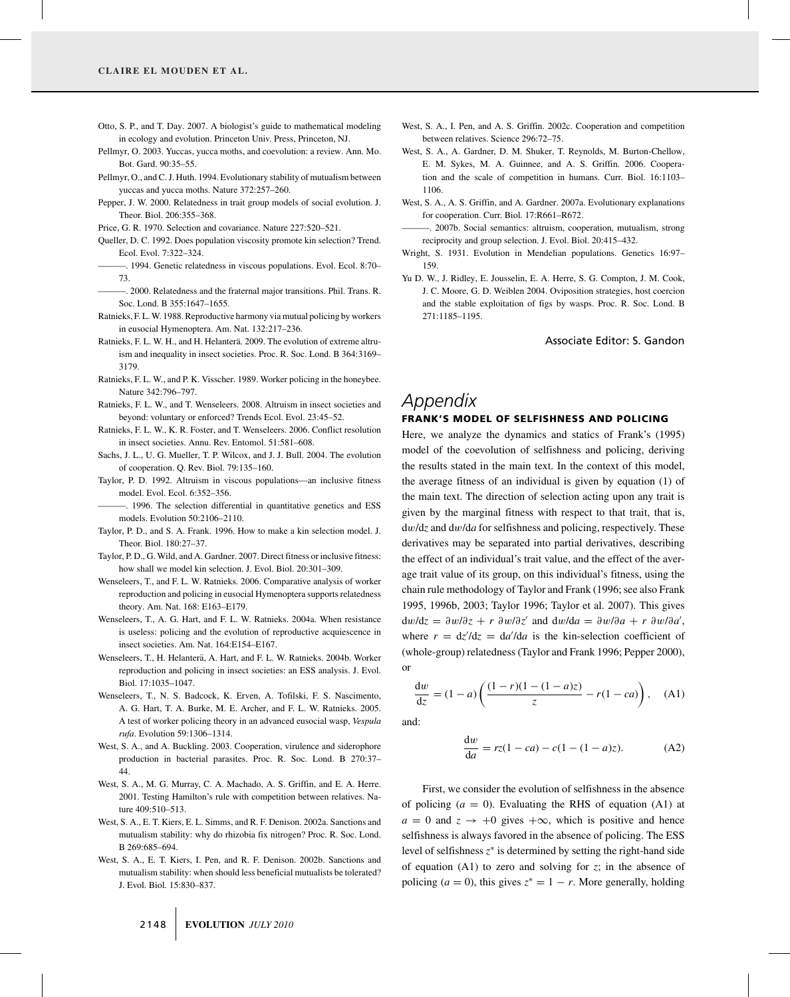- Otto, S. P., and T. Day. 2007. A biologist's guide to mathematical modeling in ecology and evolution. Princeton Univ. Press, Princeton, NJ.
- Pellmyr, O. 2003. Yuccas, yucca moths, and coevolution: a review. Ann. Mo. Bot. Gard. 90:35–55.
- Pellmyr, O., and C. J. Huth. 1994. Evolutionary stability of mutualism between yuccas and yucca moths. Nature 372:257–260.
- Pepper, J. W. 2000. Relatedness in trait group models of social evolution. J. Theor. Biol. 206:355–368.
- Price, G. R. 1970. Selection and covariance. Nature 227:520–521.
- Queller, D. C. 1992. Does population viscosity promote kin selection? Trend. Ecol. Evol. 7:322–324.
- ———. 1994. Genetic relatedness in viscous populations. Evol. Ecol. 8:70– 73.
- ———. 2000. Relatedness and the fraternal major transitions. Phil. Trans. R. Soc. Lond. B 355:1647–1655.
- Ratnieks, F. L.W. 1988. Reproductive harmony via mutual policing by workers in eusocial Hymenoptera. Am. Nat. 132:217–236.
- Ratnieks, F. L. W. H., and H. Helanterä. 2009. The evolution of extreme altruism and inequality in insect societies. Proc. R. Soc. Lond. B 364:3169– 3179.
- Ratnieks, F. L. W., and P. K. Visscher. 1989. Worker policing in the honeybee. Nature 342:796–797.
- Ratnieks, F. L. W., and T. Wenseleers. 2008. Altruism in insect societies and beyond: voluntary or enforced? Trends Ecol. Evol. 23:45–52.
- Ratnieks, F. L. W., K. R. Foster, and T. Wenseleers. 2006. Conflict resolution in insect societies. Annu. Rev. Entomol. 51:581–608.
- Sachs, J. L., U. G. Mueller, T. P. Wilcox, and J. J. Bull. 2004. The evolution of cooperation. Q. Rev. Biol. 79:135–160.
- Taylor, P. D. 1992. Altruism in viscous populations—an inclusive fitness model. Evol. Ecol. 6:352–356.
- ———. 1996. The selection differential in quantitative genetics and ESS models. Evolution 50:2106–2110.
- Taylor, P. D., and S. A. Frank. 1996. How to make a kin selection model. J. Theor. Biol. 180:27–37.
- Taylor, P. D., G. Wild, and A. Gardner. 2007. Direct fitness or inclusive fitness: how shall we model kin selection. J. Evol. Biol. 20:301–309.
- Wenseleers, T., and F. L. W. Ratnieks. 2006. Comparative analysis of worker reproduction and policing in eusocial Hymenoptera supports relatedness theory. Am. Nat. 168: E163–E179.
- Wenseleers, T., A. G. Hart, and F. L. W. Ratnieks. 2004a. When resistance is useless: policing and the evolution of reproductive acquiescence in insect societies. Am. Nat. 164:E154–E167.
- Wenseleers, T., H. Helanterä, A. Hart, and F. L. W. Ratnieks. 2004b. Worker reproduction and policing in insect societies: an ESS analysis. J. Evol. Biol. 17:1035–1047.
- Wenseleers, T., N. S. Badcock, K. Erven, A. Tofilski, F. S. Nascimento, A. G. Hart, T. A. Burke, M. E. Archer, and F. L. W. Ratnieks. 2005. A test of worker policing theory in an advanced eusocial wasp, *Vespula rufa*. Evolution 59:1306–1314.
- West, S. A., and A. Buckling. 2003. Cooperation, virulence and siderophore production in bacterial parasites. Proc. R. Soc. Lond. B 270:37– 44.
- West, S. A., M. G. Murray, C. A. Machado, A. S. Griffin, and E. A. Herre. 2001. Testing Hamilton's rule with competition between relatives. Nature 409:510-513.
- West, S. A., E. T. Kiers, E. L. Simms, and R. F. Denison. 2002a. Sanctions and mutualism stability: why do rhizobia fix nitrogen? Proc. R. Soc. Lond. B 269:685–694.
- West, S. A., E. T. Kiers, I. Pen, and R. F. Denison. 2002b. Sanctions and mutualism stability: when should less beneficial mutualists be tolerated? J. Evol. Biol. 15:830–837.
- West, S. A., I. Pen, and A. S. Griffin. 2002c. Cooperation and competition between relatives. Science 296:72–75.
- West, S. A., A. Gardner, D. M. Shuker, T. Reynolds, M. Burton-Chellow, E. M. Sykes, M. A. Guinnee, and A. S. Griffin. 2006. Cooperation and the scale of competition in humans. Curr. Biol. 16:1103– 1106.
- West, S. A., A. S. Griffin, and A. Gardner. 2007a. Evolutionary explanations for cooperation. Curr. Biol. 17:R661–R672.
- ———. 2007b. Social semantics: altruism, cooperation, mutualism, strong reciprocity and group selection. J. Evol. Biol. 20:415–432.
- Wright, S. 1931. Evolution in Mendelian populations. Genetics 16:97– 159.
- Yu D. W., J. Ridley, E. Jousselin, E. A. Herre, S. G. Compton, J. M. Cook, J. C. Moore, G. D. Weiblen 2004. Oviposition strategies, host coercion and the stable exploitation of figs by wasps. Proc. R. Soc. Lond. B 271:1185–1195.

Associate Editor: S. Gandon

# *Appendix*

#### FRANK'S MODEL OF SELFISHNESS AND POLICING

Here, we analyze the dynamics and statics of Frank's (1995) model of the coevolution of selfishness and policing, deriving the results stated in the main text. In the context of this model, the average fitness of an individual is given by equation (1) of the main text. The direction of selection acting upon any trait is given by the marginal fitness with respect to that trait, that is, dw/d*z* and dw/d*a* for selfishness and policing, respectively. These derivatives may be separated into partial derivatives, describing the effect of an individual's trait value, and the effect of the average trait value of its group, on this individual's fitness, using the chain rule methodology of Taylor and Frank (1996; see also Frank 1995, 1996b, 2003; Taylor 1996; Taylor et al. 2007). This gives  $dw/dz = \partial w/\partial z + r \partial w/\partial z'$  and  $dw/da = \partial w/\partial a + r \partial w/\partial a'$ , where  $r = \frac{dz}{dz} = \frac{da'}{da}$  is the kin-selection coefficient of (whole-group) relatedness (Taylor and Frank 1996; Pepper 2000), or

 $\frac{dw}{dz} = (1 - a) \left( \frac{(1 - r)(1 - (1 - a)z)}{z} - r(1 - ca) \right),$  (A1)

and:

$$
\frac{dw}{da} = rz(1 - ca) - c(1 - (1 - a)z). \tag{A2}
$$

First, we consider the evolution of selfishness in the absence of policing  $(a = 0)$ . Evaluating the RHS of equation  $(A1)$  at  $a = 0$  and  $z \rightarrow +0$  gives  $+\infty$ , which is positive and hence selfishness is always favored in the absence of policing. The ESS level of selfishness *z*<sup>∗</sup> is determined by setting the right-hand side of equation (A1) to zero and solving for *z*; in the absence of policing ( $a = 0$ ), this gives  $z^* = 1 - r$ . More generally, holding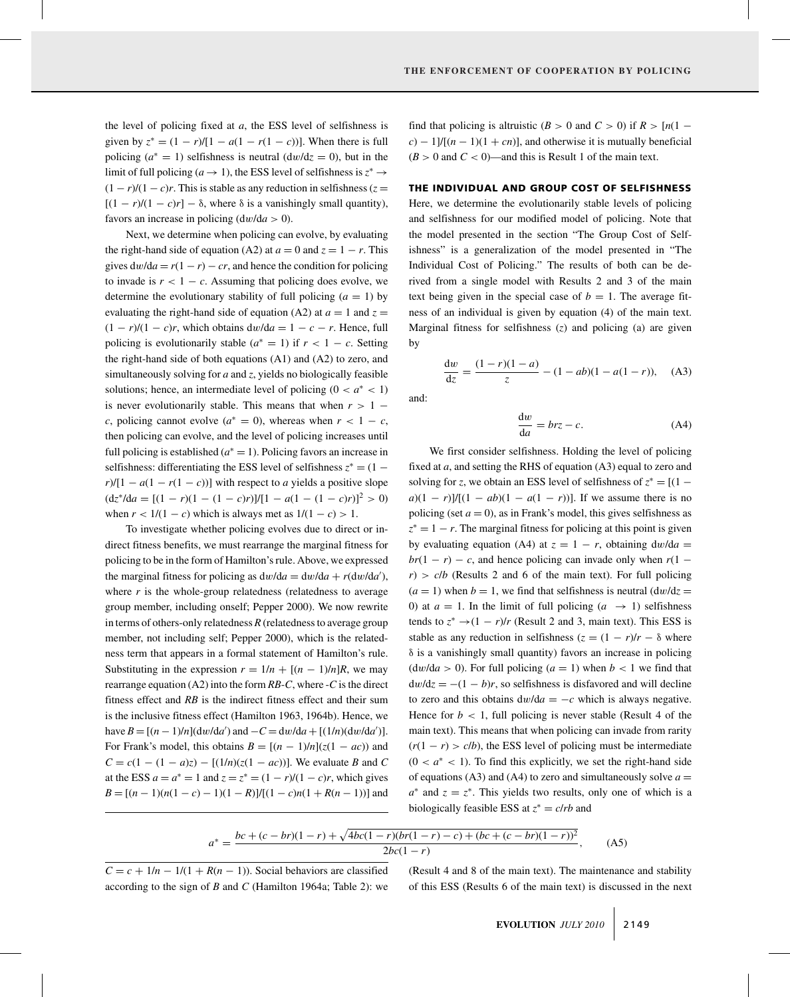the level of policing fixed at *a*, the ESS level of selfishness is given by  $z^* = (1 - r)/[1 - a(1 - r(1 - c))]$ . When there is full policing  $(a^* = 1)$  selfishness is neutral  $(dw/dz = 0)$ , but in the limit of full policing ( $a \rightarrow 1$ ), the ESS level of selfishness is  $z^* \rightarrow$  $(1 - r)/(1 - c)r$ . This is stable as any reduction in selfishness ( $z =$  $[(1 - r)/(1 - c)r] - \delta$ , where  $\delta$  is a vanishingly small quantity), favors an increase in policing  $\frac{dw}{da} > 0$ ).

Next, we determine when policing can evolve, by evaluating the right-hand side of equation (A2) at  $a = 0$  and  $z = 1 - r$ . This gives  $dw/da = r(1 - r) - cr$ , and hence the condition for policing to invade is  $r < 1 - c$ . Assuming that policing does evolve, we determine the evolutionary stability of full policing  $(a = 1)$  by evaluating the right-hand side of equation (A2) at  $a = 1$  and  $z =$  $(1 - r)/(1 - c)r$ , which obtains dw/da = 1 – c – r. Hence, full policing is evolutionarily stable ( $a^* = 1$ ) if  $r < 1 - c$ . Setting the right-hand side of both equations (A1) and (A2) to zero, and simultaneously solving for *a* and *z*, yields no biologically feasible solutions; hence, an intermediate level of policing  $(0 < a^* < 1)$ is never evolutionarily stable. This means that when  $r > 1$ *c*, policing cannot evolve ( $a^* = 0$ ), whereas when  $r < 1 - c$ , then policing can evolve, and the level of policing increases until full policing is established ( $a^* = 1$ ). Policing favors an increase in selfishness: differentiating the ESS level of selfishness  $z^* = (1$  $r$ / $[1 - a(1 - r(1 - c))]$  with respect to *a* yields a positive slope  $(dz^* / da = [(1 - r)(1 - (1 - c)r)] / [1 - a(1 - (1 - c)r)]^2 > 0)$ when  $r < 1/(1 - c)$  which is always met as  $1/(1 - c) > 1$ .

To investigate whether policing evolves due to direct or indirect fitness benefits, we must rearrange the marginal fitness for policing to be in the form of Hamilton's rule. Above, we expressed the marginal fitness for policing as  $dw/da = dw/da + r(dw/da')$ , where  $r$  is the whole-group relatedness (relatedness to average group member, including onself; Pepper 2000). We now rewrite in terms of others-only relatedness *R* (relatedness to average group member, not including self; Pepper 2000), which is the relatedness term that appears in a formal statement of Hamilton's rule. Substituting in the expression  $r = 1/n + [(n - 1)/n]R$ , we may rearrange equation (A2) into the form *RB*-*C*, where -*C* is the direct fitness effect and *RB* is the indirect fitness effect and their sum is the inclusive fitness effect (Hamilton 1963, 1964b). Hence, we have  $B = [(n-1)/n](\frac{dw}{da'})$  and  $-C = \frac{dw}{da} + [(1/n)(\frac{dw}{da'})]$ . For Frank's model, this obtains  $B = [(n - 1)/n](z(1 - ac))$  and  $C = c(1 - (1 - a)z) - [(1/n)(z(1 - ac))]$ . We evaluate *B* and *C* at the ESS  $a = a^* = 1$  and  $z = z^* = (1 - r)/(1 - c)r$ , which gives *B* =  $[(n-1)(n(1-c) - 1)(1 - R)]/[(1-c)n(1 + R(n-1))]$  and

find that policing is altruistic  $(B > 0$  and  $C > 0$ ) if  $R > [n(1$  $c$ ) − 1]/ $[(n-1)(1 + cn)]$ , and otherwise it is mutually beneficial  $(B > 0$  and  $C < 0$ )—and this is Result 1 of the main text.

#### THE INDIVIDUAL AND GROUP COST OF SELFISHNESS

Here, we determine the evolutionarily stable levels of policing and selfishness for our modified model of policing. Note that the model presented in the section "The Group Cost of Selfishness" is a generalization of the model presented in "The Individual Cost of Policing." The results of both can be derived from a single model with Results 2 and 3 of the main text being given in the special case of  $b = 1$ . The average fitness of an individual is given by equation (4) of the main text. Marginal fitness for selfishness (*z*) and policing (a) are given by

$$
\frac{dw}{dz} = \frac{(1-r)(1-a)}{z} - (1-ab)(1-a(1-r)),
$$
 (A3)

and:

$$
\frac{\mathrm{d}w}{\mathrm{d}a} = brz - c.\tag{A4}
$$

We first consider selfishness. Holding the level of policing fixed at *a*, and setting the RHS of equation (A3) equal to zero and solving for *z*, we obtain an ESS level of selfishness of  $z^* = [(1$ *a*)(1 − *r*)]/[(1 − *ab*)(1 − *a*(1 − *r*))]. If we assume there is no policing (set  $a = 0$ ), as in Frank's model, this gives selfishness as  $z^* = 1 - r$ . The marginal fitness for policing at this point is given by evaluating equation (A4) at  $z = 1 - r$ , obtaining  $dw/da =$  $br(1 - r) - c$ , and hence policing can invade only when  $r(1 - r)$  $r$ ) >  $c/b$  (Results 2 and 6 of the main text). For full policing  $(a = 1)$  when  $b = 1$ , we find that selfishness is neutral  $\frac{dw}{dz} =$ 0) at  $a = 1$ . In the limit of full policing  $(a \rightarrow 1)$  selfishness tends to  $z^* \rightarrow (1 - r)/r$  (Result 2 and 3, main text). This ESS is stable as any reduction in selfishness  $(z = (1 - r)/r - \delta$  where δ is a vanishingly small quantity) favors an increase in policing  $(dw/da > 0)$ . For full policing  $(a = 1)$  when  $b < 1$  we find that  $dw/dz = -(1 - b)r$ , so selfishness is disfavored and will decline to zero and this obtains  $dw/da = -c$  which is always negative. Hence for  $b < 1$ , full policing is never stable (Result 4 of the main text). This means that when policing can invade from rarity  $(r(1 - r) > c/b)$ , the ESS level of policing must be intermediate  $(0 < a^* < 1)$ . To find this explicitly, we set the right-hand side of equations (A3) and (A4) to zero and simultaneously solve  $a =$  $a^*$  and  $z = z^*$ . This yields two results, only one of which is a biologically feasible ESS at  $z^* = c/rb$  and

$$
a^* = \frac{bc + (c - br)(1 - r) + \sqrt{4bc(1 - r)(br(1 - r) - c) + (bc + (c - br)(1 - r))^2}}{2bc(1 - r)},
$$
 (A5)

 $C = c + \frac{1}{n} - \frac{1}{(1 + R(n - 1))}$ . Social behaviors are classified according to the sign of *B* and *C* (Hamilton 1964a; Table 2): we (Result 4 and 8 of the main text). The maintenance and stability of this ESS (Results 6 of the main text) is discussed in the next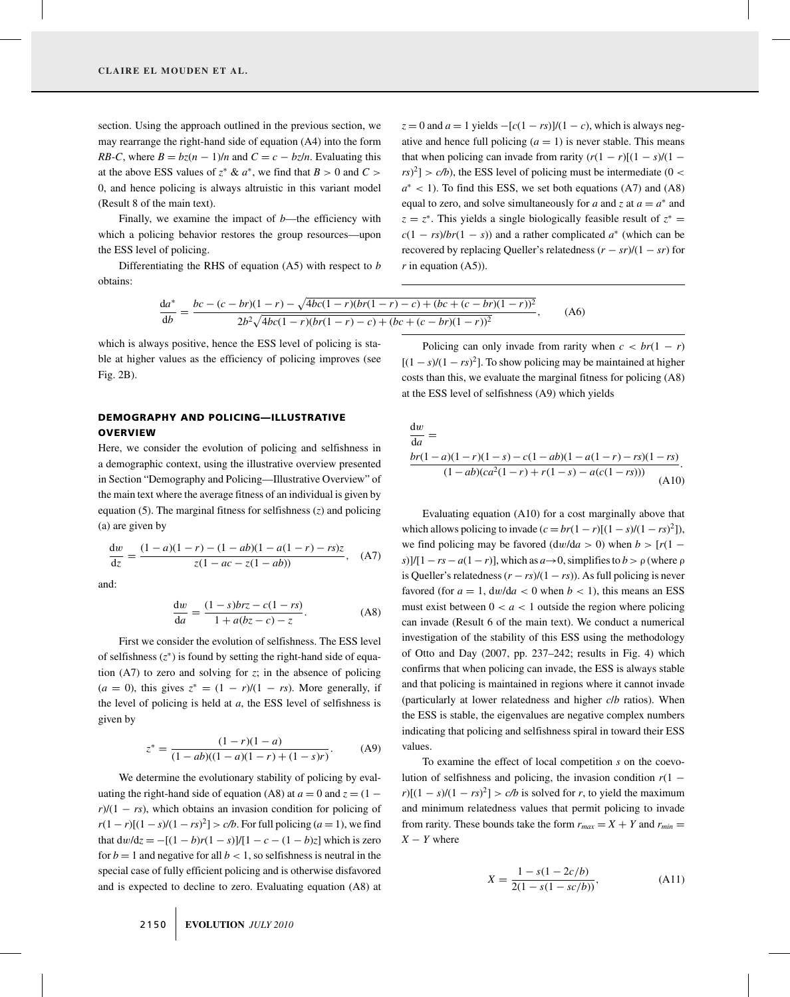section. Using the approach outlined in the previous section, we may rearrange the right-hand side of equation (A4) into the form *RB*-*C*, where  $B = bz(n - 1)/n$  and  $C = c - bz/n$ . Evaluating this at the above ESS values of  $z^* \& a^*$ , we find that  $B > 0$  and  $C >$ 0, and hence policing is always altruistic in this variant model (Result 8 of the main text).

Finally, we examine the impact of *b*—the efficiency with which a policing behavior restores the group resources—upon the ESS level of policing.

Differentiating the RHS of equation (A5) with respect to *b* obtains:

 $z = 0$  and  $a = 1$  yields  $-[c(1 - rs)]/(1 - c)$ , which is always negative and hence full policing  $(a = 1)$  is never stable. This means that when policing can invade from rarity  $(r(1 - r)[(1 - s)/(1 - s)]$  $(rs)^2$   $\geq$  *c/b*), the ESS level of policing must be intermediate (0 <  $a<sup>*</sup> < 1$ ). To find this ESS, we set both equations (A7) and (A8) equal to zero, and solve simultaneously for *a* and *z* at  $a = a^*$  and  $z = z^*$ . This yields a single biologically feasible result of  $z^* =$  $c(1 - rs)/br(1 - s)$  and a rather complicated  $a^*$  (which can be recovered by replacing Queller's relatedness  $(r - sr)/(1 - sr)$  for  $r$  in equation  $(A5)$ ).

$$
\frac{da^*}{db} = \frac{bc - (c - br)(1 - r) - \sqrt{4bc(1 - r)(br(1 - r) - c) + (bc + (c - br)(1 - r))^2}}{2b^2\sqrt{4bc(1 - r)(br(1 - r) - c) + (bc + (c - br)(1 - r))^2}},\tag{A6}
$$

which is always positive, hence the ESS level of policing is stable at higher values as the efficiency of policing improves (see Fig. 2B).

# DEMOGRAPHY AND POLICING—ILLUSTRATIVE **OVERVIEW**

Here, we consider the evolution of policing and selfishness in a demographic context, using the illustrative overview presented in Section "Demography and Policing—Illustrative Overview" of the main text where the average fitness of an individual is given by equation (5). The marginal fitness for selfishness (*z*) and policing (a) are given by

$$
\frac{dw}{dz} = \frac{(1-a)(1-r) - (1-ab)(1-a(1-r) - rs)z}{z(1-ac-z(1-ab))}, \quad (A7)
$$

and:

$$
\frac{dw}{da} = \frac{(1 - s)brz - c(1 - rs)}{1 + a(bz - c) - z}.
$$
 (A8)

First we consider the evolution of selfishness. The ESS level of selfishness  $(z^*)$  is found by setting the right-hand side of equation  $(A7)$  to zero and solving for *z*; in the absence of policing  $(a = 0)$ , this gives  $z^* = (1 - r)/(1 - rs)$ . More generally, if the level of policing is held at *a*, the ESS level of selfishness is given by

$$
z^* = \frac{(1 - r)(1 - a)}{(1 - ab)((1 - a)(1 - r) + (1 - s)r)}.
$$
 (A9)

We determine the evolutionary stability of policing by evaluating the right-hand side of equation (A8) at  $a = 0$  and  $z = (1$  $r$ /(1 − *rs*), which obtains an invasion condition for policing of *r*(1 − *r*)[(1 − *s*)/(1 − *rs*)<sup>2</sup>] > *c/b*. For full policing (*a* = 1), we find that  $dw/dz = -[(1 – b)r(1 – s)]/[1 – c − (1 – b)z]$  which is zero for  $b = 1$  and negative for all  $b < 1$ , so selfishness is neutral in the special case of fully efficient policing and is otherwise disfavored and is expected to decline to zero. Evaluating equation (A8) at

Policing can only invade from rarity when  $c < br(1 - r)$  $[(1 - s)/(1 - rs)^2]$ . To show policing may be maintained at higher costs than this, we evaluate the marginal fitness for policing (A8) at the ESS level of selfishness (A9) which yields

$$
\frac{dw}{da} = \frac{br(1-a)(1-r)(1-s) - c(1-ab)(1-a(1-r)-rs)(1-rs)}{(1-ab)(ca^2(1-r)+r(1-s)-a(c(1-rs)))}
$$
\n(A10)

Evaluating equation (A10) for a cost marginally above that which allows policing to invade  $(c = br(1 - r)[(1 - s)/(1 - rs)^2])$ , we find policing may be favored  $\left(\frac{dw}{da} > 0\right)$  when  $b > \left[\frac{r(1 - a)}{2}\right]$  $s$ )]/[1 – *rs* – *a*(1 – *r*)], which as  $a \rightarrow 0$ , simplifies to  $b > \rho$  (where  $\rho$ is Queller's relatedness  $(r - rs)/(1 - rs)$ ). As full policing is never favored (for  $a = 1$ ,  $dw/da < 0$  when  $b < 1$ ), this means an ESS must exist between  $0 < a < 1$  outside the region where policing can invade (Result 6 of the main text). We conduct a numerical investigation of the stability of this ESS using the methodology of Otto and Day (2007, pp. 237–242; results in Fig. 4) which confirms that when policing can invade, the ESS is always stable and that policing is maintained in regions where it cannot invade (particularly at lower relatedness and higher *c*/*b* ratios). When the ESS is stable, the eigenvalues are negative complex numbers indicating that policing and selfishness spiral in toward their ESS values.

To examine the effect of local competition *s* on the coevolution of selfishness and policing, the invasion condition  $r(1 \frac{r}{(1-s)/(1-s^2)} > c/b$  is solved for *r*, to yield the maximum and minimum relatedness values that permit policing to invade from rarity. These bounds take the form  $r_{max} = X + Y$  and  $r_{min} =$  $X - Y$  where

$$
X = \frac{1 - s(1 - 2c/b)}{2(1 - s(1 - sc/b))},
$$
(A11)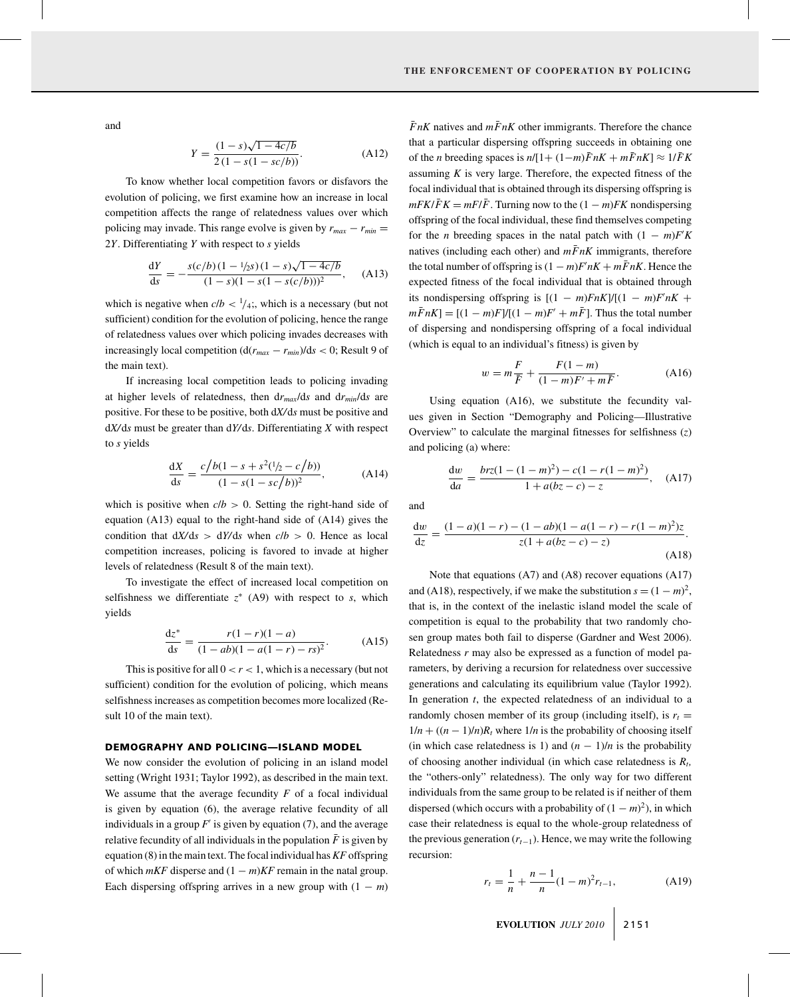and

$$
Y = \frac{(1 - s)\sqrt{1 - 4c/b}}{2(1 - s(1 - sc/b))}.
$$
 (A12)

To know whether local competition favors or disfavors the evolution of policing, we first examine how an increase in local competition affects the range of relatedness values over which policing may invade. This range evolve is given by  $r_{max} - r_{min} =$ 2*Y*. Differentiating *Y* with respect to *s* yields

$$
\frac{dY}{ds} = -\frac{s(c/b)(1 - 1/2s)(1 - s)\sqrt{1 - 4c/b}}{(1 - s)(1 - s(1 - s(c/b)))^2}, \quad (A13)
$$

which is negative when  $c/b < \frac{1}{4}$ ;, which is a necessary (but not sufficient) condition for the evolution of policing, hence the range of relatedness values over which policing invades decreases with increasingly local competition  $(d(r_{max} - r_{min})/ds < 0$ ; Result 9 of the main text).

If increasing local competition leads to policing invading at higher levels of relatedness, then d*rmax*/d*s* and d*rmin*/d*s* are positive. For these to be positive, both d*X/*d*s* must be positive and d*X/*d*s* must be greater than d*Y/*d*s*. Differentiating *X* with respect to *s* yields

$$
\frac{dX}{ds} = \frac{c/b(1 - s + s^2(1/2 - c/b))}{(1 - s(1 - sc/b))^2},
$$
 (A14)

which is positive when  $c/b > 0$ . Setting the right-hand side of equation (A13) equal to the right-hand side of (A14) gives the condition that  $dX/ds > dY/ds$  when  $c/b > 0$ . Hence as local competition increases, policing is favored to invade at higher levels of relatedness (Result 8 of the main text).

To investigate the effect of increased local competition on selfishness we differentiate  $z^*$  (A9) with respect to *s*, which yields

$$
\frac{dz^*}{ds} = \frac{r(1-r)(1-a)}{(1-ab)(1-a(1-r)-rs)^2}.
$$
 (A15)

This is positive for all  $0 < r < 1$ , which is a necessary (but not sufficient) condition for the evolution of policing, which means selfishness increases as competition becomes more localized (Result 10 of the main text).

## DEMOGRAPHY AND POLICING—ISLAND MODEL

We now consider the evolution of policing in an island model setting (Wright 1931; Taylor 1992), as described in the main text. We assume that the average fecundity *F* of a focal individual is given by equation (6), the average relative fecundity of all individuals in a group  $F'$  is given by equation (7), and the average relative fecundity of all individuals in the population  $\bar{F}$  is given by equation (8) in the main text. The focal individual has*KF* offspring of which  $mKF$  disperse and  $(1 - m)KF$  remain in the natal group. Each dispersing offspring arrives in a new group with  $(1 - m)$ 

 $\bar{F}nK$  natives and  $m\bar{F}nK$  other immigrants. Therefore the chance that a particular dispersing offspring succeeds in obtaining one of the *n* breeding spaces is  $n/[1+(1-m)\bar{F}nK+m\bar{F}nK] \approx 1/\bar{F}K$ assuming  $K$  is very large. Therefore, the expected fitness of the focal individual that is obtained through its dispersing offspring is  $mFK/\overline{F}K = mF/\overline{F}$ . Turning now to the  $(1 - m)FK$  nondispersing offspring of the focal individual, these find themselves competing for the *n* breeding spaces in the natal patch with  $(1 - m)F'K$ natives (including each other) and  $m\bar{F}nK$  immigrants, therefore the total number of offspring is  $(1 - m)F'nK + m\bar{F}nK$ . Hence the expected fitness of the focal individual that is obtained through its nondispersing offspring is  $[(1 - m)FnK]/[(1 - m)FnK +$  $m\bar{F}nK$  =  $[(1 - m)F]/[(1 - m)F' + m\bar{F}]$ . Thus the total number of dispersing and nondispersing offspring of a focal individual (which is equal to an individual's fitness) is given by

$$
w = m\frac{F}{\bar{F}} + \frac{F(1-m)}{(1-m)F' + m\bar{F}}.
$$
 (A16)

Using equation (A16), we substitute the fecundity values given in Section "Demography and Policing—Illustrative Overview" to calculate the marginal fitnesses for selfishness (*z*) and policing (a) where:

$$
\frac{dw}{da} = \frac{brz(1 - (1 - m)^2) - c(1 - r(1 - m)^2)}{1 + a(bz - c) - z}, \quad (A17)
$$

and

$$
\frac{dw}{dz} = \frac{(1-a)(1-r) - (1-ab)(1-a(1-r) - r(1-m)^2)z}{z(1+a(bz-c) - z)}.
$$
\n(A18)

Note that equations (A7) and (A8) recover equations (A17) and (A18), respectively, if we make the substitution  $s = (1 - m)^2$ , that is, in the context of the inelastic island model the scale of competition is equal to the probability that two randomly chosen group mates both fail to disperse (Gardner and West 2006). Relatedness *r* may also be expressed as a function of model parameters, by deriving a recursion for relatedness over successive generations and calculating its equilibrium value (Taylor 1992). In generation *t*, the expected relatedness of an individual to a randomly chosen member of its group (including itself), is  $r_t =$  $1/n + ((n - 1)/n)R_t$  where  $1/n$  is the probability of choosing itself (in which case relatedness is 1) and  $(n - 1)/n$  is the probability of choosing another individual (in which case relatedness is  $R_t$ , the "others-only" relatedness). The only way for two different individuals from the same group to be related is if neither of them dispersed (which occurs with a probability of  $(1 - m)^2$ ), in which case their relatedness is equal to the whole-group relatedness of the previous generation  $(r_{t-1})$ . Hence, we may write the following recursion:

$$
r_t = \frac{1}{n} + \frac{n-1}{n}(1-m)^2 r_{t-1},
$$
 (A19)